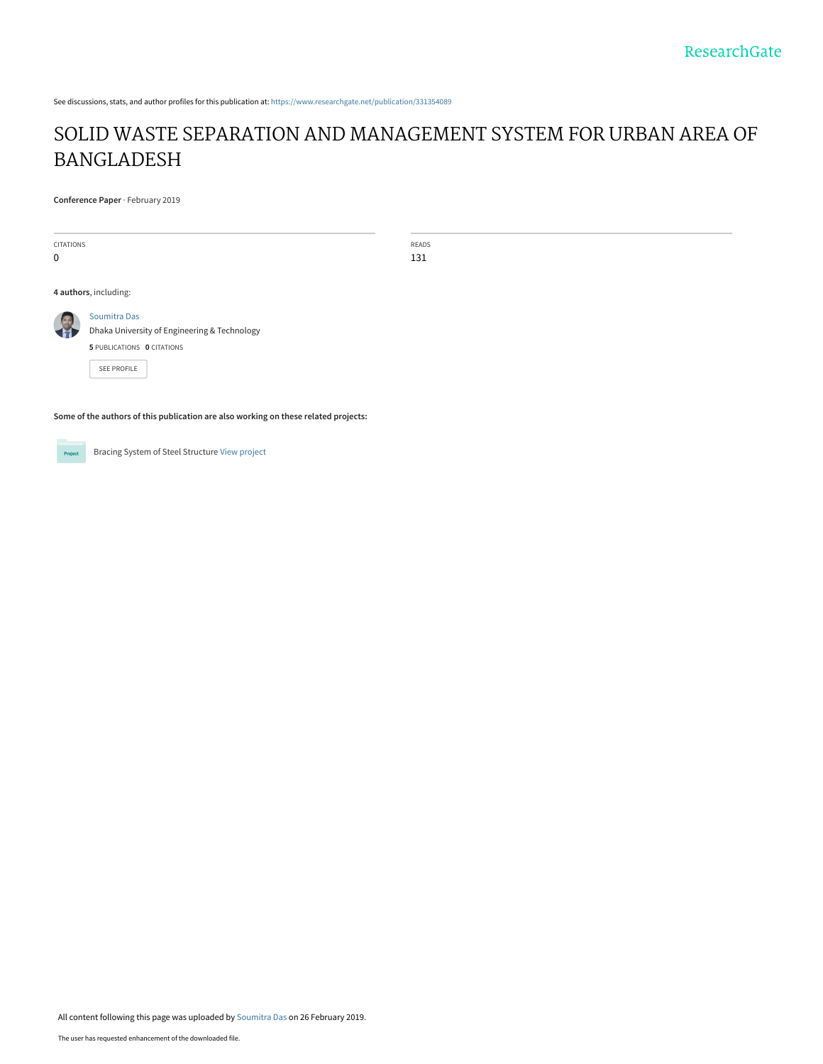See discussions, stats, and author profiles for this publication at: [https://www.researchgate.net/publication/331354089](https://www.researchgate.net/publication/331354089_SOLID_WASTE_SEPARATION_AND_MANAGEMENT_SYSTEM_FOR_URBAN_AREA_OF_BANGLADESH?enrichId=rgreq-bbc2e78af452ebbbacca87286154decb-XXX&enrichSource=Y292ZXJQYWdlOzMzMTM1NDA4OTtBUzo3MzA1NjAwMjAzNjUzMTRAMTU1MTE5MDQ5MDc4OA%3D%3D&el=1_x_2&_esc=publicationCoverPdf)

# [SOLID WASTE SEPARATION AND MANAGEMENT SYSTEM FOR URBAN AREA OF](https://www.researchgate.net/publication/331354089_SOLID_WASTE_SEPARATION_AND_MANAGEMENT_SYSTEM_FOR_URBAN_AREA_OF_BANGLADESH?enrichId=rgreq-bbc2e78af452ebbbacca87286154decb-XXX&enrichSource=Y292ZXJQYWdlOzMzMTM1NDA4OTtBUzo3MzA1NjAwMjAzNjUzMTRAMTU1MTE5MDQ5MDc4OA%3D%3D&el=1_x_3&_esc=publicationCoverPdf) BANGLADESH

READS 131

**Conference Paper** · February 2019

| <b>CITATIONS</b><br>0 |                                                                                                                  |
|-----------------------|------------------------------------------------------------------------------------------------------------------|
|                       | 4 authors, including:                                                                                            |
|                       | Soumitra Das<br>Dhaka University of Engineering & Technology<br>5 PUBLICATIONS 0 CITATIONS<br><b>SEE PROFILE</b> |

**Some of the authors of this publication are also working on these related projects:**

Bracing System of Steel Structure [View project](https://www.researchgate.net/project/Bracing-System-of-Steel-Structure?enrichId=rgreq-bbc2e78af452ebbbacca87286154decb-XXX&enrichSource=Y292ZXJQYWdlOzMzMTM1NDA4OTtBUzo3MzA1NjAwMjAzNjUzMTRAMTU1MTE5MDQ5MDc4OA%3D%3D&el=1_x_9&_esc=publicationCoverPdf) Project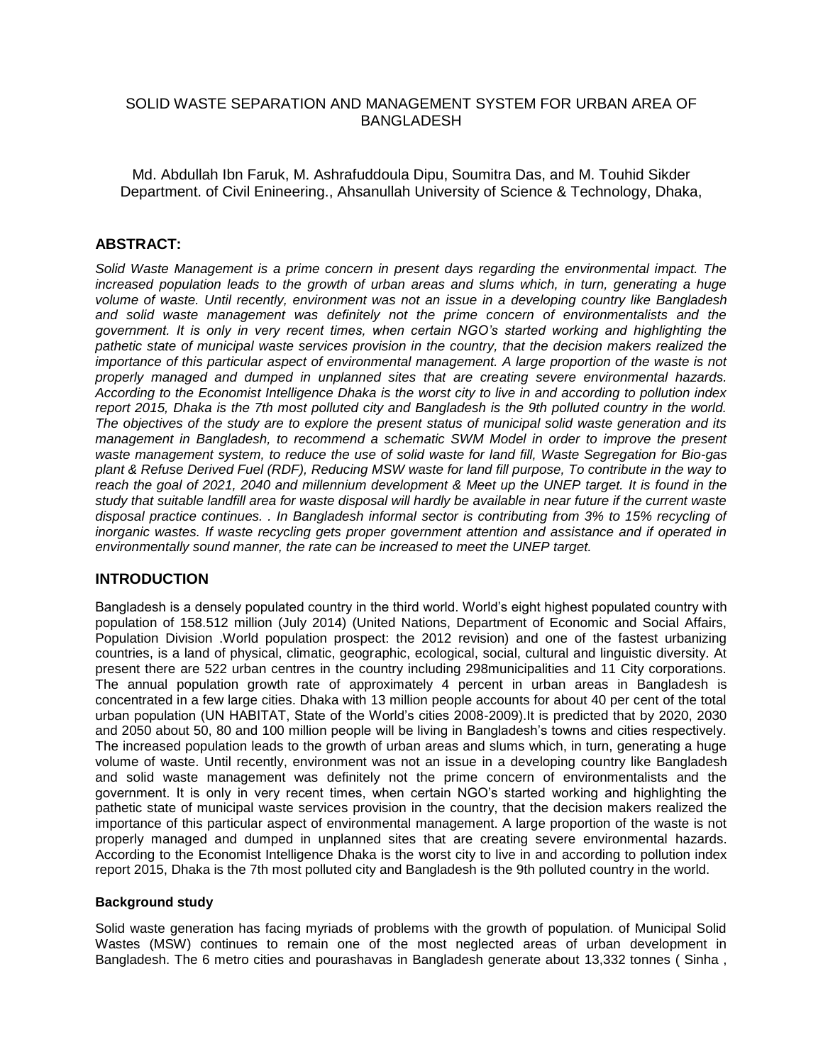## SOLID WASTE SEPARATION AND MANAGEMENT SYSTEM FOR URBAN AREA OF BANGLADESH

Md. Abdullah Ibn Faruk, M. Ashrafuddoula Dipu, Soumitra Das, and M. Touhid Sikder Department. of Civil Enineering., Ahsanullah University of Science & Technology, Dhaka,

## **ABSTRACT:**

*Solid Waste Management is a prime concern in present days regarding the environmental impact. The increased population leads to the growth of urban areas and slums which, in turn, generating a huge volume of waste. Until recently, environment was not an issue in a developing country like Bangladesh and solid waste management was definitely not the prime concern of environmentalists and the government. It is only in very recent times, when certain NGO's started working and highlighting the pathetic state of municipal waste services provision in the country, that the decision makers realized the importance of this particular aspect of environmental management. A large proportion of the waste is not properly managed and dumped in unplanned sites that are creating severe environmental hazards. According to the Economist Intelligence Dhaka is the worst city to live in and according to pollution index report 2015, Dhaka is the 7th most polluted city and Bangladesh is the 9th polluted country in the world. The objectives of the study are to explore the present status of municipal solid waste generation and its management in Bangladesh, to recommend a schematic SWM Model in order to improve the present waste management system, to reduce the use of solid waste for land fill, Waste Segregation for Bio-gas plant & Refuse Derived Fuel (RDF), Reducing MSW waste for land fill purpose, To contribute in the way to reach the goal of 2021, 2040 and millennium development & Meet up the UNEP target. It is found in the study that suitable landfill area for waste disposal will hardly be available in near future if the current waste disposal practice continues. . In Bangladesh informal sector is contributing from 3% to 15% recycling of inorganic wastes. If waste recycling gets proper government attention and assistance and if operated in environmentally sound manner, the rate can be increased to meet the UNEP target.*

# **INTRODUCTION**

Bangladesh is a densely populated country in the third world. World's eight highest populated country with population of 158.512 million (July 2014) (United Nations, Department of Economic and Social Affairs, Population Division .World population prospect: the 2012 revision) and one of the fastest urbanizing countries, is a land of physical, climatic, geographic, ecological, social, cultural and linguistic diversity. At present there are 522 urban centres in the country including 298municipalities and 11 City corporations. The annual population growth rate of approximately 4 percent in urban areas in Bangladesh is concentrated in a few large cities. Dhaka with 13 million people accounts for about 40 per cent of the total urban population (UN HABITAT, State of the World's cities 2008-2009).It is predicted that by 2020, 2030 and 2050 about 50, 80 and 100 million people will be living in Bangladesh's towns and cities respectively. The increased population leads to the growth of urban areas and slums which, in turn, generating a huge volume of waste. Until recently, environment was not an issue in a developing country like Bangladesh and solid waste management was definitely not the prime concern of environmentalists and the government. It is only in very recent times, when certain NGO's started working and highlighting the pathetic state of municipal waste services provision in the country, that the decision makers realized the importance of this particular aspect of environmental management. A large proportion of the waste is not properly managed and dumped in unplanned sites that are creating severe environmental hazards. According to the Economist Intelligence Dhaka is the worst city to live in and according to pollution index report 2015, Dhaka is the 7th most polluted city and Bangladesh is the 9th polluted country in the world.

#### **Background study**

Solid waste generation has facing myriads of problems with the growth of population. of Municipal Solid Wastes (MSW) continues to remain one of the most neglected areas of urban development in Bangladesh. The 6 metro cities and pourashavas in Bangladesh generate about 13,332 tonnes ( Sinha ,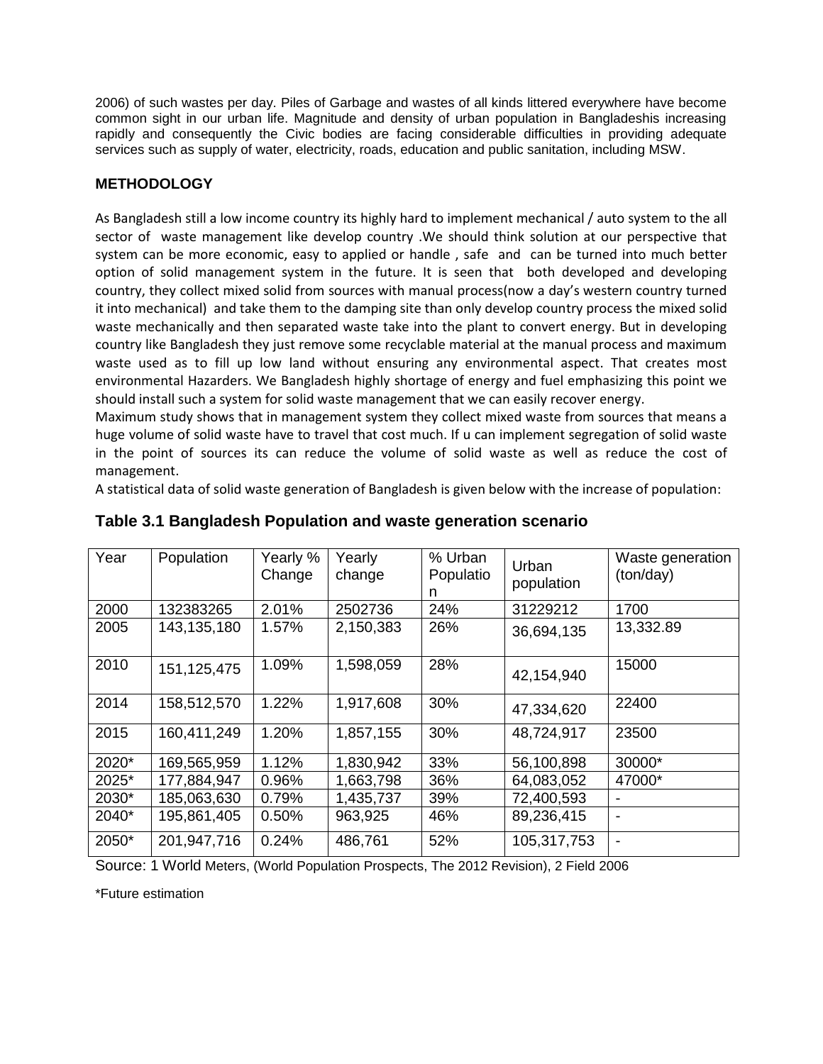2006) of such wastes per day. Piles of Garbage and wastes of all kinds littered everywhere have become common sight in our urban life. Magnitude and density of urban population in Bangladeshis increasing rapidly and consequently the Civic bodies are facing considerable difficulties in providing adequate services such as supply of water, electricity, roads, education and public sanitation, including MSW.

# **METHODOLOGY**

As Bangladesh still a low income country its highly hard to implement mechanical / auto system to the all sector of waste management like develop country .We should think solution at our perspective that system can be more economic, easy to applied or handle , safe and can be turned into much better option of solid management system in the future. It is seen that both developed and developing country, they collect mixed solid from sources with manual process(now a day's western country turned it into mechanical) and take them to the damping site than only develop country process the mixed solid waste mechanically and then separated waste take into the plant to convert energy. But in developing country like Bangladesh they just remove some recyclable material at the manual process and maximum waste used as to fill up low land without ensuring any environmental aspect. That creates most environmental Hazarders. We Bangladesh highly shortage of energy and fuel emphasizing this point we should install such a system for solid waste management that we can easily recover energy.

Maximum study shows that in management system they collect mixed waste from sources that means a huge volume of solid waste have to travel that cost much. If u can implement segregation of solid waste in the point of sources its can reduce the volume of solid waste as well as reduce the cost of management.

A statistical data of solid waste generation of Bangladesh is given below with the increase of population:

| Year  | Population    | Yearly %<br>Change | Yearly<br>change | % Urban<br>Populatio<br>n | Urban<br>population | Waste generation<br>(ton/day) |
|-------|---------------|--------------------|------------------|---------------------------|---------------------|-------------------------------|
| 2000  | 132383265     | 2.01%              | 2502736          | 24%                       | 31229212            | 1700                          |
| 2005  | 143,135,180   | 1.57%              | 2,150,383        | 26%                       | 36,694,135          | 13,332.89                     |
| 2010  | 151, 125, 475 | 1.09%              | 1,598,059        | 28%                       | 42,154,940          | 15000                         |
| 2014  | 158,512,570   | 1.22%              | 1,917,608        | 30%                       | 47,334,620          | 22400                         |
| 2015  | 160,411,249   | 1.20%              | 1,857,155        | 30%                       | 48,724,917          | 23500                         |
| 2020* | 169,565,959   | 1.12%              | 1,830,942        | 33%                       | 56,100,898          | 30000*                        |
| 2025* | 177,884,947   | 0.96%              | 1,663,798        | 36%                       | 64,083,052          | 47000*                        |
| 2030* | 185,063,630   | 0.79%              | 1,435,737        | 39%                       | 72,400,593          |                               |
| 2040* | 195,861,405   | 0.50%              | 963,925          | 46%                       | 89,236,415          |                               |
| 2050* | 201,947,716   | 0.24%              | 486,761          | 52%                       | 105,317,753         |                               |

# **Table 3.1 Bangladesh Population and waste generation scenario**

Source: 1 World Meters, (World Population Prospects, The 2012 Revision), 2 Field 2006

\*Future estimation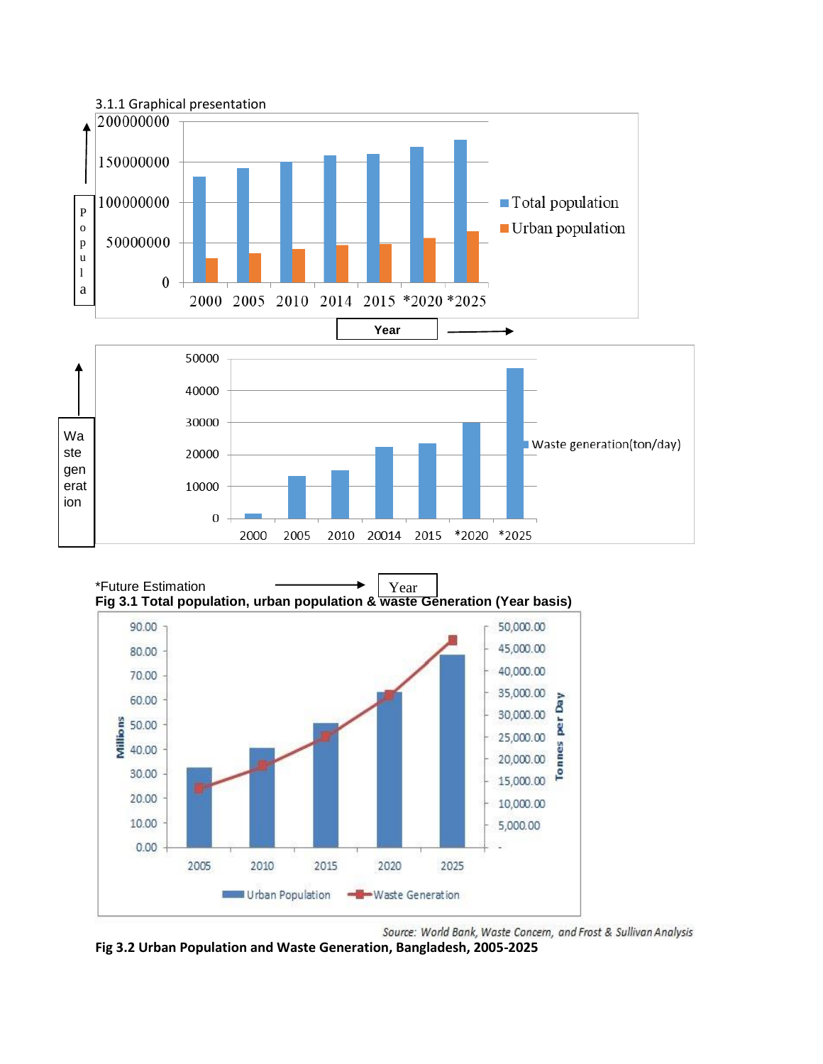





**Fig 3.2 Urban Population and Waste Generation, Bangladesh, 2005-2025**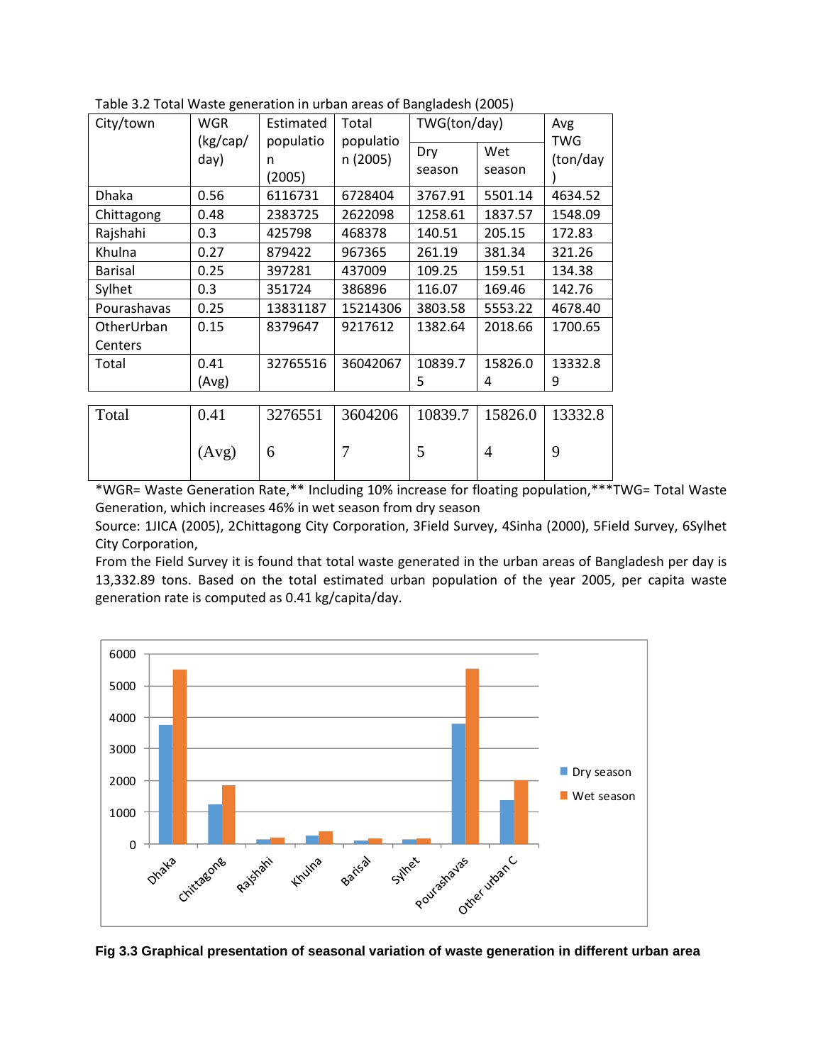| City/town             | <b>WGR</b><br>(kg/cap/<br>day) | Estimated<br>populatio<br>n<br>(2005) | Total<br>populatio<br>n (2005) | TWG(ton/day)<br>Dry<br>season | Wet<br>season  | Avg<br>TWG<br>(ton/day |
|-----------------------|--------------------------------|---------------------------------------|--------------------------------|-------------------------------|----------------|------------------------|
| <b>Dhaka</b>          | 0.56                           | 6116731                               | 6728404                        | 3767.91                       | 5501.14        | 4634.52                |
| Chittagong            | 0.48                           | 2383725                               | 2622098                        | 1258.61                       | 1837.57        | 1548.09                |
| Rajshahi              | 0.3                            | 425798                                | 468378                         | 140.51                        | 205.15         | 172.83                 |
| Khulna                | 0.27                           | 879422                                | 967365                         | 261.19                        | 381.34         | 321.26                 |
| <b>Barisal</b>        | 0.25                           | 397281                                | 437009                         | 109.25                        | 159.51         | 134.38                 |
| Sylhet                | 0.3                            | 351724                                | 386896                         | 116.07                        | 169.46         | 142.76                 |
| Pourashavas           | 0.25                           | 13831187                              | 15214306                       | 3803.58                       | 5553.22        | 4678.40                |
| OtherUrban<br>Centers | 0.15                           | 8379647                               | 9217612                        | 1382.64                       | 2018.66        | 1700.65                |
| Total                 | 0.41                           | 32765516                              | 36042067                       | 10839.7                       | 15826.0        | 13332.8                |
|                       | (Avg)                          |                                       |                                | 5                             | 4              | 9                      |
|                       |                                |                                       |                                |                               |                |                        |
| Total                 | 0.41                           | 3276551                               | 3604206                        | 10839.7                       | 15826.0        | 13332.8                |
|                       | (Avg)                          | 6                                     | 7                              | 5                             | $\overline{4}$ | 9                      |

Table 3.2 Total Waste generation in urban areas of Bangladesh (2005)

\*WGR= Waste Generation Rate,\*\* Including 10% increase for floating population,\*\*\*TWG= Total Waste Generation, which increases 46% in wet season from dry season

Source: 1JICA (2005), 2Chittagong City Corporation, 3Field Survey, 4Sinha (2000), 5Field Survey, 6Sylhet City Corporation,

From the Field Survey it is found that total waste generated in the urban areas of Bangladesh per day is 13,332.89 tons. Based on the total estimated urban population of the year 2005, per capita waste generation rate is computed as 0.41 kg/capita/day.



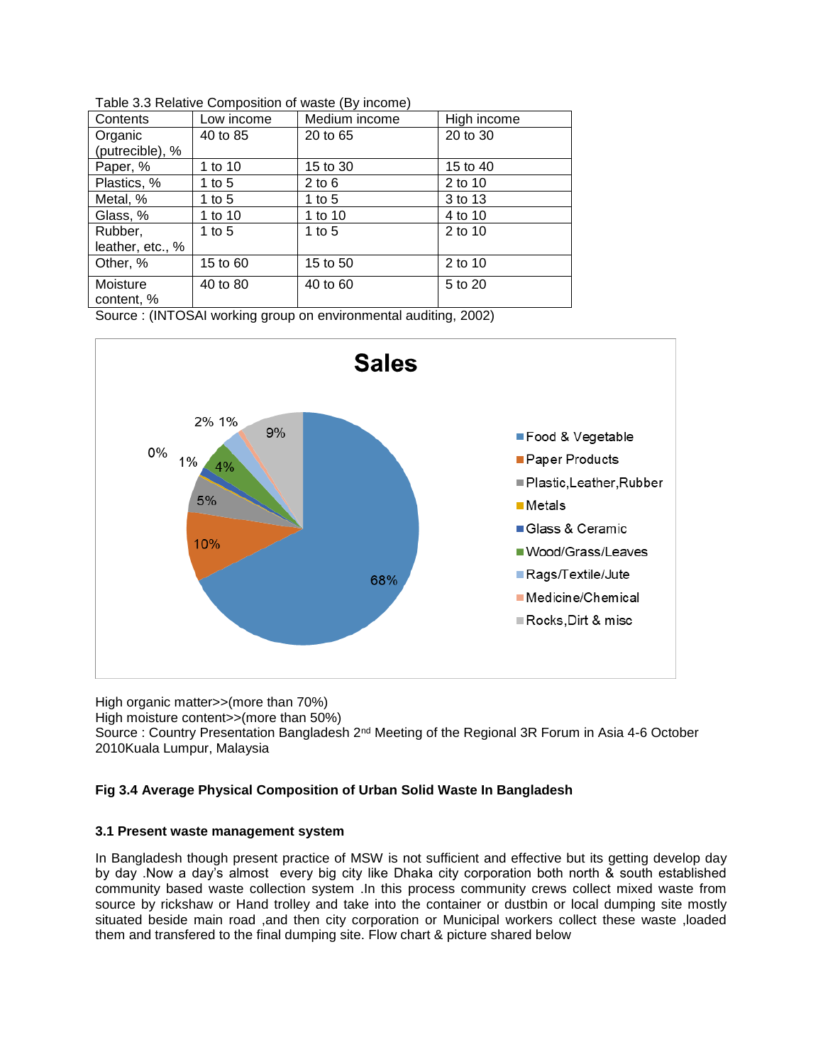| Contents         | Low income | Medium income | High income |
|------------------|------------|---------------|-------------|
| Organic          | 40 to 85   | 20 to 65      | 20 to 30    |
| (putrecible), %  |            |               |             |
| Paper, %         | 1 to 10    | 15 to 30      | 15 to 40    |
| Plastics, %      | 1 to 5     | $2$ to 6      | 2 to 10     |
| Metal, %         | 1 to 5     | 1 to 5        | 3 to 13     |
| Glass, %         | 1 to 10    | 1 to 10       | 4 to 10     |
| Rubber,          | 1 to $5$   | 1 to $5$      | 2 to 10     |
| leather, etc., % |            |               |             |
| Other, %         | 15 to 60   | 15 to 50      | 2 to 10     |
| Moisture         | 40 to 80   | 40 to 60      | 5 to 20     |
| content, %       |            |               |             |

Table 3.3 Relative Composition of waste (By income)

Source : (INTOSAI working group on environmental auditing, 2002)



High organic matter>>(more than 70%)

High moisture content>>(more than 50%)

Source : Country Presentation Bangladesh 2<sup>nd</sup> Meeting of the Regional 3R Forum in Asia 4-6 October 2010Kuala Lumpur, Malaysia

# **Fig 3.4 Average Physical Composition of Urban Solid Waste In Bangladesh**

## **3.1 Present waste management system**

In Bangladesh though present practice of MSW is not sufficient and effective but its getting develop day by day .Now a day's almost every big city like Dhaka city corporation both north & south established community based waste collection system .In this process community crews collect mixed waste from source by rickshaw or Hand trolley and take into the container or dustbin or local dumping site mostly situated beside main road ,and then city corporation or Municipal workers collect these waste ,loaded them and transfered to the final dumping site. Flow chart & picture shared below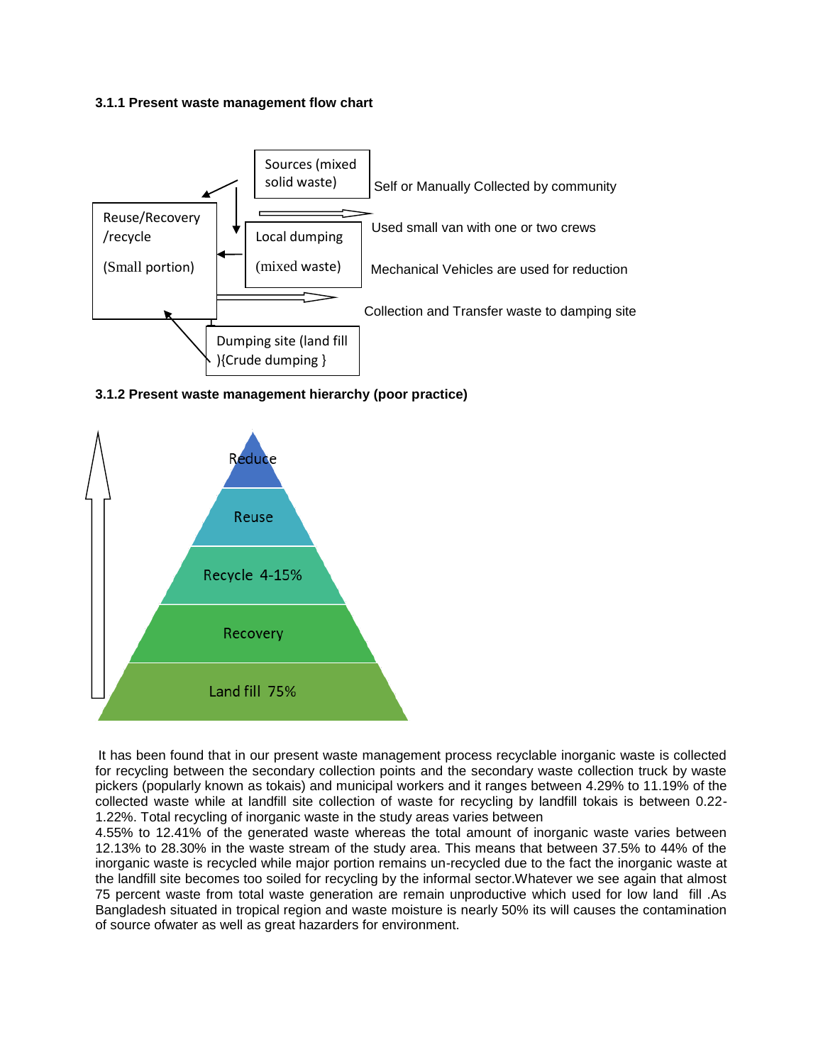#### **3.1.1 Present waste management flow chart**



#### **3.1.2 Present waste management hierarchy (poor practice)**



It has been found that in our present waste management process recyclable inorganic waste is collected for recycling between the secondary collection points and the secondary waste collection truck by waste pickers (popularly known as tokais) and municipal workers and it ranges between 4.29% to 11.19% of the collected waste while at landfill site collection of waste for recycling by landfill tokais is between 0.22- 1.22%. Total recycling of inorganic waste in the study areas varies between

4.55% to 12.41% of the generated waste whereas the total amount of inorganic waste varies between 12.13% to 28.30% in the waste stream of the study area. This means that between 37.5% to 44% of the inorganic waste is recycled while major portion remains un-recycled due to the fact the inorganic waste at the landfill site becomes too soiled for recycling by the informal sector.Whatever we see again that almost 75 percent waste from total waste generation are remain unproductive which used for low land fill .As Bangladesh situated in tropical region and waste moisture is nearly 50% its will causes the contamination of source ofwater as well as great hazarders for environment.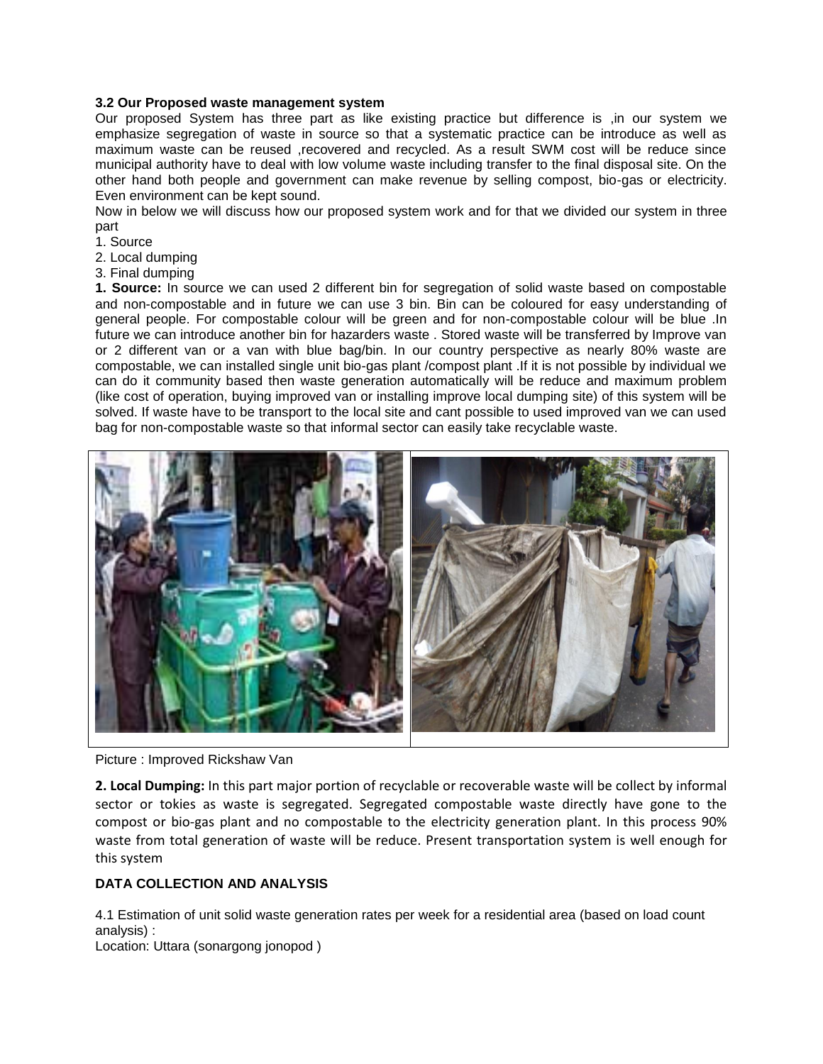#### **3.2 Our Proposed waste management system**

Our proposed System has three part as like existing practice but difference is ,in our system we emphasize segregation of waste in source so that a systematic practice can be introduce as well as maximum waste can be reused ,recovered and recycled. As a result SWM cost will be reduce since municipal authority have to deal with low volume waste including transfer to the final disposal site. On the other hand both people and government can make revenue by selling compost, bio-gas or electricity. Even environment can be kept sound.

Now in below we will discuss how our proposed system work and for that we divided our system in three part

1. Source

- 2. Local dumping
- 3. Final dumping

**1. Source:** In source we can used 2 different bin for segregation of solid waste based on compostable and non-compostable and in future we can use 3 bin. Bin can be coloured for easy understanding of general people. For compostable colour will be green and for non-compostable colour will be blue .In future we can introduce another bin for hazarders waste . Stored waste will be transferred by Improve van or 2 different van or a van with blue bag/bin. In our country perspective as nearly 80% waste are compostable, we can installed single unit bio-gas plant /compost plant .If it is not possible by individual we can do it community based then waste generation automatically will be reduce and maximum problem (like cost of operation, buying improved van or installing improve local dumping site) of this system will be solved. If waste have to be transport to the local site and cant possible to used improved van we can used bag for non-compostable waste so that informal sector can easily take recyclable waste.



Picture : Improved Rickshaw Van

**2. Local Dumping:** In this part major portion of recyclable or recoverable waste will be collect by informal sector or tokies as waste is segregated. Segregated compostable waste directly have gone to the compost or bio-gas plant and no compostable to the electricity generation plant. In this process 90% waste from total generation of waste will be reduce. Present transportation system is well enough for this system

## **DATA COLLECTION AND ANALYSIS**

4.1 Estimation of unit solid waste generation rates per week for a residential area (based on load count analysis) :

Location: Uttara (sonargong jonopod )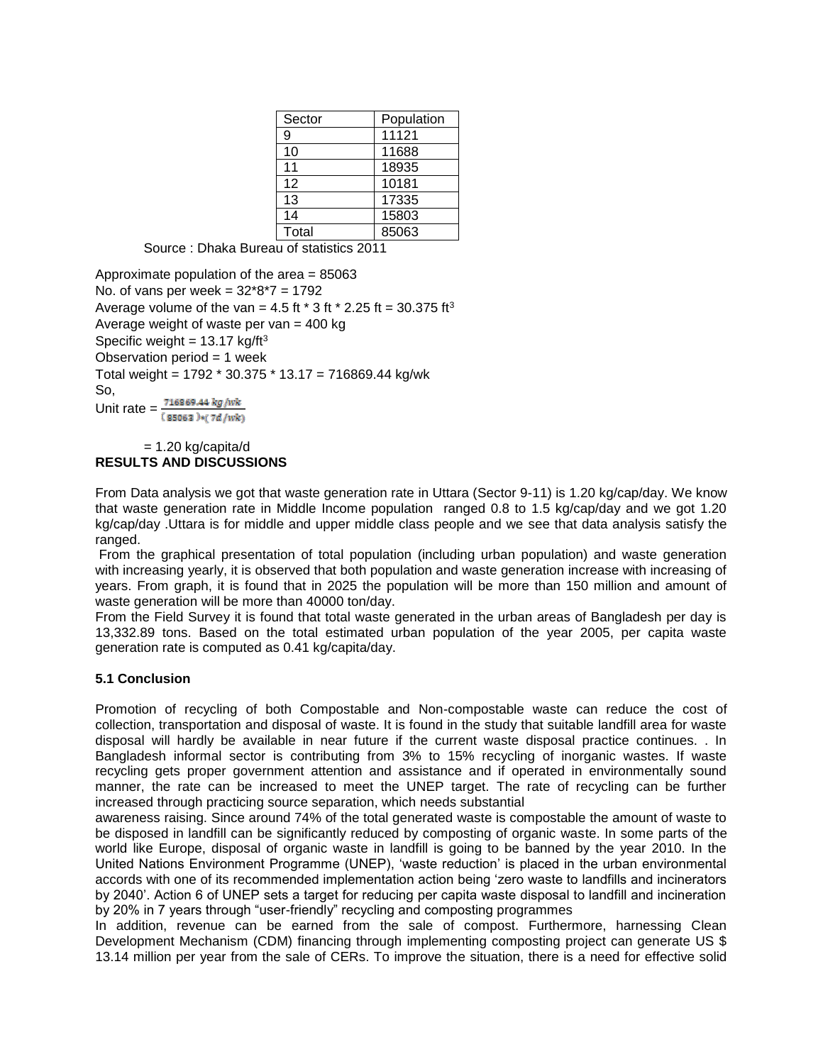| Sector | Population |
|--------|------------|
| 9      | 11121      |
| 10     | 11688      |
| 11     | 18935      |
| 12     | 10181      |
| 13     | 17335      |
| 14     | 15803      |
| Total  | 85063      |

Source : Dhaka Bureau of statistics 2011

Approximate population of the area = 85063 No. of vans per week =  $32*8*7 = 1792$ Average volume of the van = 4.5 ft  $*$  3 ft  $*$  2.25 ft = 30.375 ft<sup>3</sup> Average weight of waste per van  $=$  400 kg Specific weight =  $13.17$  kg/ft<sup>3</sup> Observation period  $= 1$  week Total weight = 1792 \* 30.375 \* 13.17 = 716869.44 kg/wk So, Unit rate =  $\frac{716869.44 \ kg/wk}{(85063) * (7d/wk)}$ 

#### $= 1.20$  kg/capita/d **RESULTS AND DISCUSSIONS**

From Data analysis we got that waste generation rate in Uttara (Sector 9-11) is 1.20 kg/cap/day. We know that waste generation rate in Middle Income population ranged 0.8 to 1.5 kg/cap/day and we got 1.20 kg/cap/day .Uttara is for middle and upper middle class people and we see that data analysis satisfy the ranged.

From the graphical presentation of total population (including urban population) and waste generation with increasing yearly, it is observed that both population and waste generation increase with increasing of years. From graph, it is found that in 2025 the population will be more than 150 million and amount of waste generation will be more than 40000 ton/day.

From the Field Survey it is found that total waste generated in the urban areas of Bangladesh per day is 13,332.89 tons. Based on the total estimated urban population of the year 2005, per capita waste generation rate is computed as 0.41 kg/capita/day.

## **5.1 Conclusion**

Promotion of recycling of both Compostable and Non-compostable waste can reduce the cost of collection, transportation and disposal of waste. It is found in the study that suitable landfill area for waste disposal will hardly be available in near future if the current waste disposal practice continues. . In Bangladesh informal sector is contributing from 3% to 15% recycling of inorganic wastes. If waste recycling gets proper government attention and assistance and if operated in environmentally sound manner, the rate can be increased to meet the UNEP target. The rate of recycling can be further increased through practicing source separation, which needs substantial

awareness raising. Since around 74% of the total generated waste is compostable the amount of waste to be disposed in landfill can be significantly reduced by composting of organic waste. In some parts of the world like Europe, disposal of organic waste in landfill is going to be banned by the year 2010. In the United Nations Environment Programme (UNEP), 'waste reduction' is placed in the urban environmental accords with one of its recommended implementation action being 'zero waste to landfills and incinerators by 2040'. Action 6 of UNEP sets a target for reducing per capita waste disposal to landfill and incineration by 20% in 7 years through "user-friendly" recycling and composting programmes

In addition, revenue can be earned from the sale of compost. Furthermore, harnessing Clean Development Mechanism (CDM) financing through implementing composting project can generate US \$ 13.14 million per year from the sale of CERs. To improve the situation, there is a need for effective solid